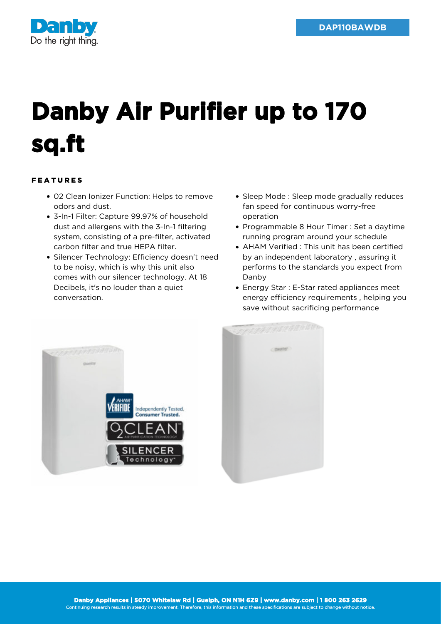

## **Danby Air Purifier up to 170 sq.ft**

## FEATURES

- 02 Clean Ionizer Function: Helps to remove odors and dust.
- 3-In-1 Filter: Capture 99.97% of household dust and allergens with the 3-In-1 filtering system, consisting of a pre-filter, activated carbon filter and true HEPA filter.
- Silencer Technology: Efficiency doesn't need to be noisy, which is why this unit also comes with our silencer technology. At 18 Decibels, it's no louder than a quiet conversation.
- Sleep Mode : Sleep mode gradually reduces fan speed for continuous worry-free operation
- Programmable 8 Hour Timer : Set a daytime running program around your schedule
- AHAM Verified : This unit has been certified by an independent laboratory , assuring it performs to the standards you expect from Danby
- Energy Star : E-Star rated appliances meet energy efficiency requirements , helping you save without sacrificing performance